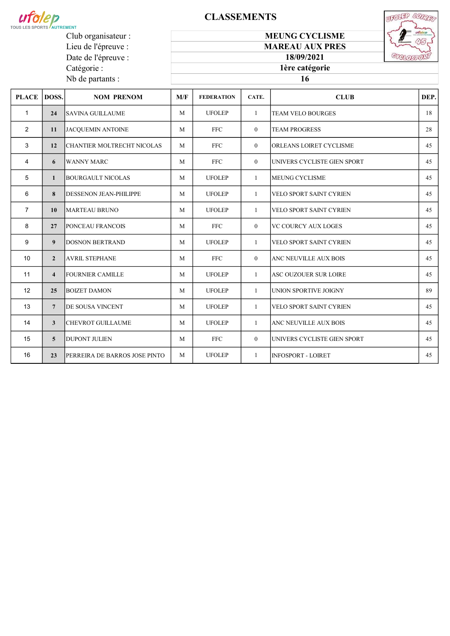

Lieu de l'épreuve : Date de l'épreuve :

Catégorie : Nb de partants :

# **CLASSEMENTS**



MEUNG CYCLISME MAREAU AUX PRES

> 18/09/2021 1ère catégorie

| <b>PLACE</b>   | DOSS.                   | <b>NOM PRENOM</b>             | M/F | <b>FEDERATION</b> | CATE.          | <b>CLUB</b>                    | DEP. |
|----------------|-------------------------|-------------------------------|-----|-------------------|----------------|--------------------------------|------|
| $\mathbf{1}$   | 24                      | <b>SAVINA GUILLAUME</b>       | M   | <b>UFOLEP</b>     | $\mathbf{1}$   | <b>TEAM VELO BOURGES</b>       | 18   |
| $\overline{2}$ | 11                      | JACQUEMIN ANTOINE             | M   | <b>FFC</b>        | $\overline{0}$ | <b>TEAM PROGRESS</b>           | 28   |
| 3              | 12                      | CHANTIER MOLTRECHT NICOLAS    | M   | <b>FFC</b>        | $\theta$       | <b>ORLEANS LOIRET CYCLISME</b> | 45   |
| 4              | 6                       | <b>WANNY MARC</b>             | M   | <b>FFC</b>        | $\theta$       | UNIVERS CYCLISTE GIEN SPORT    | 45   |
| 5              | $\mathbf{1}$            | BOURGAULT NICOLAS             | M   | <b>UFOLEP</b>     | $\mathbf{1}$   | <b>MEUNG CYCLISME</b>          | 45   |
| 6              | 8                       | <b>DESSENON JEAN-PHILIPPE</b> | M   | <b>UFOLEP</b>     | $\mathbf{1}$   | <b>VELO SPORT SAINT CYRIEN</b> | 45   |
| $\overline{7}$ | 10                      | <b>MARTEAU BRUNO</b>          | M   | <b>UFOLEP</b>     | $\mathbf{1}$   | <b>VELO SPORT SAINT CYRIEN</b> | 45   |
| 8              | 27                      | <b>PONCEAU FRANCOIS</b>       | M   | <b>FFC</b>        | $\overline{0}$ | <b>VC COURCY AUX LOGES</b>     | 45   |
| 9              | 9                       | <b>DOSNON BERTRAND</b>        | M   | <b>UFOLEP</b>     | 1              | <b>VELO SPORT SAINT CYRIEN</b> | 45   |
| 10             | $\overline{2}$          | <b>AVRIL STEPHANE</b>         | M   | <b>FFC</b>        | $\theta$       | ANC NEUVILLE AUX BOIS          | 45   |
| 11             | $\overline{\mathbf{4}}$ | FOURNIER CAMILLE              | M   | <b>UFOLEP</b>     | $\mathbf{1}$   | ASC OUZOUER SUR LOIRE          | 45   |
| 12             | 25                      | <b>BOIZET DAMON</b>           | M   | <b>UFOLEP</b>     | $\mathbf{1}$   | UNION SPORTIVE JOIGNY          | 89   |
| 13             | $\overline{7}$          | <b>DE SOUSA VINCENT</b>       | M   | <b>UFOLEP</b>     | 1              | VELO SPORT SAINT CYRIEN        | 45   |
| 14             | 3                       | <b>CHEVROT GUILLAUME</b>      | M   | <b>UFOLEP</b>     | $\mathbf{1}$   | ANC NEUVILLE AUX BOIS          | 45   |
| 15             | 5                       | <b>DUPONT JULIEN</b>          | M   | <b>FFC</b>        | $\theta$       | UNIVERS CYCLISTE GIEN SPORT    | 45   |
| 16             | 23                      | PERREIRA DE BARROS JOSE PINTO | M   | <b>UFOLEP</b>     | $\mathbf{1}$   | <b>INFOSPORT - LOIRET</b>      | 45   |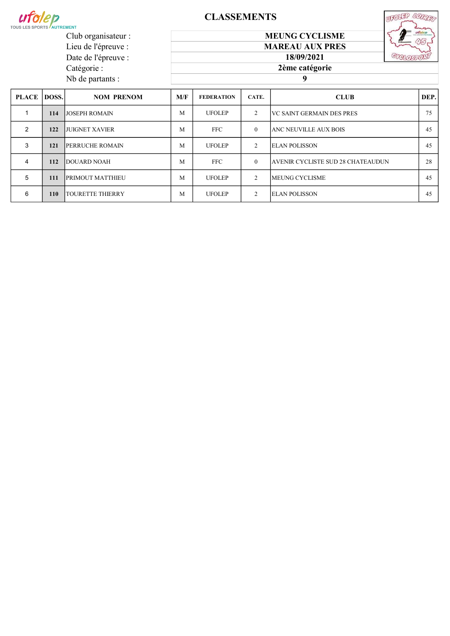

Club organisateur : Lieu de l'épreuve : Date de l'épreuve :

Catégorie : Nb de partants :

# **CLASSEMENTS**





18/09/2021 2ème catégorie

9

| <b>PLACE DOSS.</b> |            | <b>NOM PRENOM</b>        | M/F | <b>FEDERATION</b> | CATE.          | <b>CLUB</b>                       | DEP. |
|--------------------|------------|--------------------------|-----|-------------------|----------------|-----------------------------------|------|
|                    | 114        | <b>JJOSEPH ROMAIN</b>    | M   | <b>UFOLEP</b>     | $\overline{c}$ | <b>IVC SAINT GERMAIN DES PRES</b> | 75   |
| 2                  | 122        | <b>JUIGNET XAVIER</b>    | M   | <b>FFC</b>        | $\theta$       | IANC NEUVILLE AUX BOIS            | 45   |
| 3                  | 121        | <b>IPERRUCHE ROMAIN</b>  | М   | <b>UFOLEP</b>     | $\mathfrak{D}$ | <b>ELAN POLISSON</b>              | 45   |
| 4                  | 112        | <b>IDOUARD NOAH</b>      | M   | <b>FFC</b>        | $\Omega$       | AVENIR CYCLISTE SUD 28 CHATEAUDUN | 28   |
| 5                  | 111        | <b>PRIMOUT MATTHIEU</b>  | M   | <b>UFOLEP</b>     | $\mathfrak{D}$ | <b>IMEUNG CYCLISME</b>            | 45   |
| 6                  | <b>110</b> | <b>ITOURETTE THIERRY</b> | M   | <b>UFOLEP</b>     | $\mathcal{D}$  | <b>ELAN POLISSON</b>              | 45   |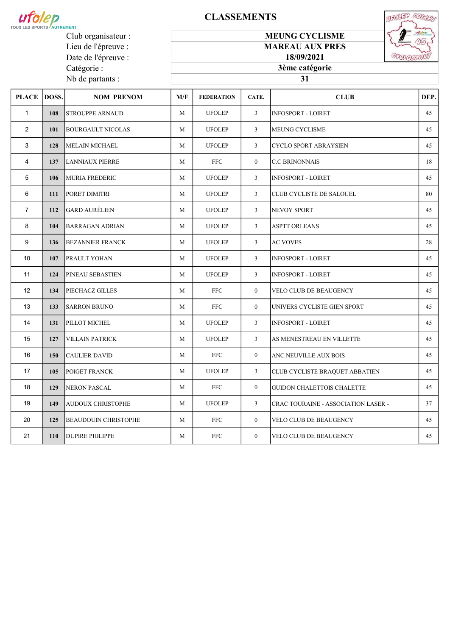

Club organisateur : Lieu de l'épreuve : Date de l'épreuve :

Catégorie : Nb de partants :

# **CLASSEMENTS**

#### MEUNG CYCLISME MAREAU AUX PRES



18/09/2021 3ème catégorie

### 

| PLACE   DOSS.   |     | <b>NOM PRENOM</b>           | M/F         | <b>FEDERATION</b> | CATE.          | <b>CLUB</b>                         | DEP. |
|-----------------|-----|-----------------------------|-------------|-------------------|----------------|-------------------------------------|------|
| $\mathbf{1}$    | 108 | <b>STROUPPE ARNAUD</b>      | M           | <b>UFOLEP</b>     | $\overline{3}$ | <b>INFOSPORT - LOIRET</b>           | 45   |
| $\overline{2}$  | 101 | <b>BOURGAULT NICOLAS</b>    | M           | <b>UFOLEP</b>     | $\overline{3}$ | <b>MEUNG CYCLISME</b>               | 45   |
| 3               | 128 | <b>MELAIN MICHAEL</b>       | M           | <b>UFOLEP</b>     | $\mathbf{3}$   | <b>CYCLO SPORT ABRAYSIEN</b>        | 45   |
| 4               | 137 | <b>LANNIAUX PIERRE</b>      | M           | <b>FFC</b>        | $\overline{0}$ | <b>C.C BRINONNAIS</b>               | 18   |
| 5               | 106 | MURIA FREDERIC              | M           | <b>UFOLEP</b>     | $\overline{3}$ | <b>INFOSPORT - LOIRET</b>           | 45   |
| 6               | 111 | PORET DIMITRI               | M           | <b>UFOLEP</b>     | 3              | CLUB CYCLISTE DE SALOUEL            | 80   |
| $\overline{7}$  | 112 | <b>GARD AURÉLIEN</b>        | $\mathbf M$ | <b>UFOLEP</b>     | $\overline{3}$ | NEVOY SPORT                         | 45   |
| 8               | 104 | <b>BARRAGAN ADRIAN</b>      | M           | <b>UFOLEP</b>     | 3              | <b>ASPTT ORLEANS</b>                | 45   |
| 9               | 136 | <b>BEZANNIER FRANCK</b>     | M           | <b>UFOLEP</b>     | $\overline{3}$ | <b>AC VOVES</b>                     | 28   |
| 10              | 107 | <b>PRAULT YOHAN</b>         | M           | <b>UFOLEP</b>     | $\overline{3}$ | <b>INFOSPORT - LOIRET</b>           | 45   |
| 11              | 124 | PINEAU SEBASTIEN            | M           | <b>UFOLEP</b>     | 3              | <b>INFOSPORT - LOIRET</b>           | 45   |
| 12 <sup>2</sup> | 134 | PIECHACZ GILLES             | M           | <b>FFC</b>        | $\overline{0}$ | <b>VELO CLUB DE BEAUGENCY</b>       | 45   |
| 13              | 133 | <b>SARRON BRUNO</b>         | M           | <b>FFC</b>        | $\overline{0}$ | UNIVERS CYCLISTE GIEN SPORT         | 45   |
| 14              | 131 | PILLOT MICHEL               | M           | <b>UFOLEP</b>     | 3              | <b>INFOSPORT - LOIRET</b>           | 45   |
| 15              | 127 | <b>VILLAIN PATRICK</b>      | M           | <b>UFOLEP</b>     | $\overline{3}$ | AS MENESTREAU EN VILLETTE           | 45   |
| 16              | 150 | <b>CAULIER DAVID</b>        | M           | <b>FFC</b>        | $\overline{0}$ | ANC NEUVILLE AUX BOIS               | 45   |
| 17              | 105 | POIGET FRANCK               | M           | <b>UFOLEP</b>     | $\overline{3}$ | CLUB CYCLISTE BRAQUET ABBATIEN      | 45   |
| 18              | 129 | <b>NERON PASCAL</b>         | M           | <b>FFC</b>        | $\overline{0}$ | <b>GUIDON CHALETTOIS CHALETTE</b>   | 45   |
| 19              | 149 | <b>AUDOUX CHRISTOPHE</b>    | M           | <b>UFOLEP</b>     | 3              | CRAC TOURAINE - ASSOCIATION LASER - | 37   |
| 20              | 125 | <b>BEAUDOUIN CHRISTOPHE</b> | M           | <b>FFC</b>        | $\overline{0}$ | <b>VELO CLUB DE BEAUGENCY</b>       | 45   |
| 21              | 110 | <b>DUPIRE PHILIPPE</b>      | M           | <b>FFC</b>        | $\overline{0}$ | <b>VELO CLUB DE BEAUGENCY</b>       | 45   |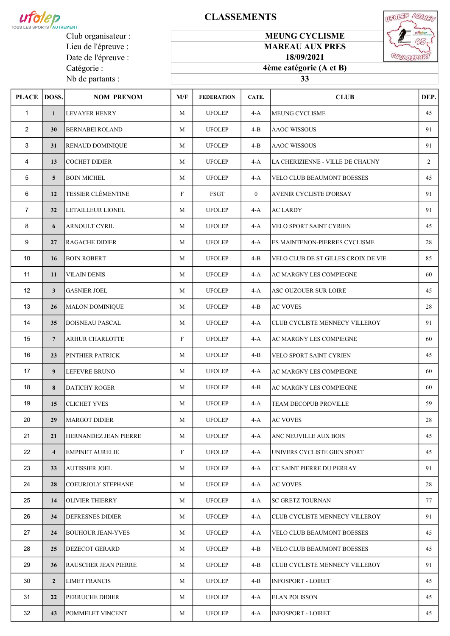

Lieu de l'épreuve : Date de l'épreuve :

Catégorie : Nb de partants :

# **CLASSEMENTS**

# MEUNG CYCLISME



MAREAU AUX PRES 18/09/2021

# 4ème catégorie (A et B)

| <b>PLACE</b>   | DOSS.                   | <b>NOM PRENOM</b>            | M/F          | <b>FEDERATION</b> | CATE.        | <b>CLUB</b>                         | DEP.           |
|----------------|-------------------------|------------------------------|--------------|-------------------|--------------|-------------------------------------|----------------|
| $\mathbf{1}$   | $\mathbf{1}$            | <b>LEVAYER HENRY</b>         | M            | <b>UFOLEP</b>     | $4-A$        | <b>MEUNG CYCLISME</b>               | 45             |
| $\overline{2}$ | 30                      | <b>BERNABEI ROLAND</b>       | M            | <b>UFOLEP</b>     | $4 - B$      | <b>AAOC WISSOUS</b>                 | 91             |
| 3              | 31                      | <b>RENAUD DOMINIQUE</b>      | M            | <b>UFOLEP</b>     | $4-B$        | AAOC WISSOUS                        | 91             |
| 4              | 13                      | <b>COCHET DIDIER</b>         | M            | <b>UFOLEP</b>     | $4-A$        | LA CHERIZIENNE - VILLE DE CHAUNY    | $\overline{2}$ |
| 5              | 5 <sup>5</sup>          | <b>BOIN MICHEL</b>           | $\mathbf M$  | <b>UFOLEP</b>     | 4-A          | VELO CLUB BEAUMONT BOESSES          | 45             |
| 6              | 12                      | <b>TESSIER CLÉMENTINE</b>    | $\mathbf{F}$ | FSGT              | $\mathbf{0}$ | AVENIR CYCLISTE D'ORSAY             | 91             |
| $\overline{7}$ | 32                      | LETAILLEUR LIONEL            | M            | <b>UFOLEP</b>     | 4-A          | <b>AC LARDY</b>                     | 91             |
| 8              | 6                       | ARNOULT CYRIL                | M            | <b>UFOLEP</b>     | $4-A$        | VELO SPORT SAINT CYRIEN             | 45             |
| 9              | 27                      | <b>RAGACHE DIDIER</b>        | M            | <b>UFOLEP</b>     | $4-A$        | ES MAINTENON-PIERRES CYCLISME       | 28             |
| 10             | 16                      | <b>BOIN ROBERT</b>           | M            | <b>UFOLEP</b>     | $4-B$        | VELO CLUB DE ST GILLES CROIX DE VIE | 85             |
| 11             | 11                      | <b>VILAIN DENIS</b>          | M            | <b>UFOLEP</b>     | $4-A$        | AC MARGNY LES COMPIEGNE             | 60             |
| 12             | $\mathbf{3}$            | <b>GASNIER JOEL</b>          | M            | <b>UFOLEP</b>     | $4-A$        | <b>ASC OUZOUER SUR LOIRE</b>        | 45             |
| 13             | 26                      | MALON DOMINIQUE              | M            | <b>UFOLEP</b>     | $4-B$        | <b>AC VOVES</b>                     | 28             |
| 14             | 35                      | <b>DOISNEAU PASCAL</b>       | M            | <b>UFOLEP</b>     | 4-A          | CLUB CYCLISTE MENNECY VILLEROY      | 91             |
| 15             | $7\overline{ }$         | <b>ARHUR CHARLOTTE</b>       | $\mathbf{F}$ | <b>UFOLEP</b>     | 4-A          | AC MARGNY LES COMPIEGNE             | 60             |
| 16             | 23                      | <b>PINTHIER PATRICK</b>      | M            | <b>UFOLEP</b>     | $4-B$        | VELO SPORT SAINT CYRIEN             | 45             |
| 17             | 9 <sup>°</sup>          | LEFEVRE BRUNO                | M            | <b>UFOLEP</b>     | $4-A$        | AC MARGNY LES COMPIEGNE             | 60             |
| 18             | 8                       | <b>DATICHY ROGER</b>         | M            | <b>UFOLEP</b>     | $4 - B$      | AC MARGNY LES COMPIEGNE             | 60             |
| 19             | 15                      | <b>CLICHET YVES</b>          | M            | <b>UFOLEP</b>     | 4-A          | TEAM DECOPUB PROVILLE               | 59             |
| 20             | 29                      | <b>MARGOT DIDIER</b>         | M            | <b>UFOLEP</b>     | $4-A$        | <b>AC VOVES</b>                     | 28             |
| 21             | 21                      | <b>HERNANDEZ JEAN PIERRE</b> | $\mathbf M$  | <b>UFOLEP</b>     | 4-A          | ANC NEUVILLE AUX BOIS               | 45             |
| 22             | $\overline{\mathbf{4}}$ | <b>EMPINET AURELIE</b>       | $\mathbf{F}$ | <b>UFOLEP</b>     | 4-A          | UNIVERS CYCLISTE GIEN SPORT         | 45             |
| 23             | 33                      | <b>AUTISSIER JOEL</b>        | M            | <b>UFOLEP</b>     | 4-A          | <b>CC SAINT PIERRE DU PERRAY</b>    | 91             |
| 24             | 28                      | <b>COEURJOLY STEPHANE</b>    | M            | <b>UFOLEP</b>     | 4-A          | <b>AC VOVES</b>                     | 28             |
| 25             | 14                      | <b>OLIVIER THIERRY</b>       | M            | <b>UFOLEP</b>     | 4-A          | <b>SC GRETZ TOURNAN</b>             | 77             |
| 26             | 34                      | <b>DEFRESNES DIDIER</b>      | M            | <b>UFOLEP</b>     | 4-A          | CLUB CYCLISTE MENNECY VILLEROY      | 91             |
| 27             | 24                      | <b>BOUHOUR JEAN-YVES</b>     | M            | <b>UFOLEP</b>     | 4-A          | VELO CLUB BEAUMONT BOESSES          | 45             |
| 28             | 25                      | <b>DEZECOT GERARD</b>        | M            | <b>UFOLEP</b>     | $4-B$        | VELO CLUB BEAUMONT BOESSES          | 45             |
| 29             | 36                      | RAUSCHER JEAN PIERRE         | M            | <b>UFOLEP</b>     | $4-B$        | CLUB CYCLISTE MENNECY VILLEROY      | 91             |
| 30             | $\mathbf{2}$            | <b>LIMET FRANCIS</b>         | M            | <b>UFOLEP</b>     | $4-B$        | <b>INFOSPORT - LOIRET</b>           | 45             |
| 31             | 22                      | PERRUCHE DIDIER              | M            | <b>UFOLEP</b>     | 4-A          | <b>ELAN POLISSON</b>                | 45             |
| 32             | 43                      | POMMELET VINCENT             | M            | <b>UFOLEP</b>     | 4-A          | <b>INFOSPORT - LOIRET</b>           | 45             |